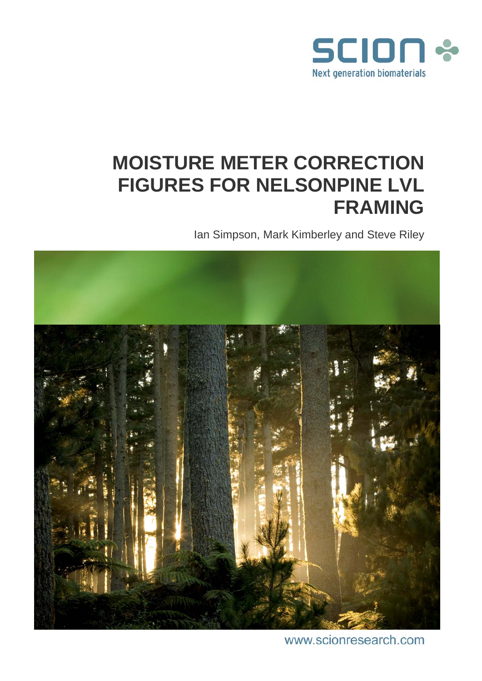

# **MOISTURE METER CORRECTION FIGURES FOR NELSONPINE LVL FRAMING**

Ian Simpson, Mark Kimberley and Steve Riley



www.scionresearch.com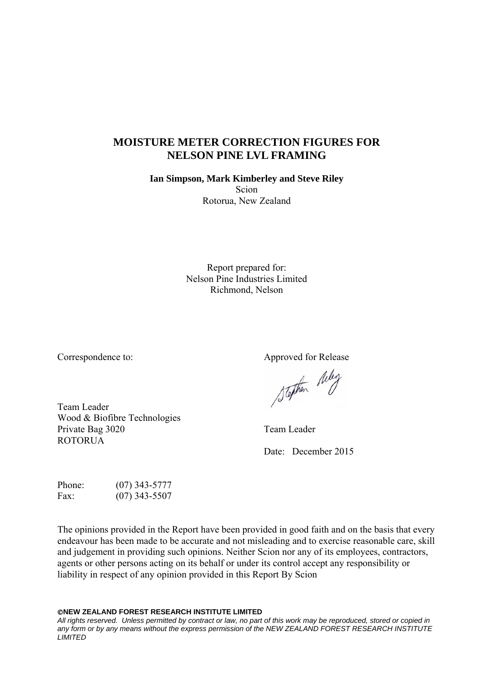## **MOISTURE METER CORRECTION FIGURES FOR NELSON PINE LVL FRAMING**

**Ian Simpson, Mark Kimberley and Steve Riley**  Scion Rotorua, New Zealand

> Report prepared for: Nelson Pine Industries Limited Richmond, Nelson

Correspondence to: Approved for Release

Team Leader Wood & Biofibre Technologies Private Bag 3020 Team Leader ROTORUA

Stephen Relig

Date: December 2015

Phone: (07) 343-5777 Fax: (07) 343-5507

The opinions provided in the Report have been provided in good faith and on the basis that every endeavour has been made to be accurate and not misleading and to exercise reasonable care, skill and judgement in providing such opinions. Neither Scion nor any of its employees, contractors, agents or other persons acting on its behalf or under its control accept any responsibility or liability in respect of any opinion provided in this Report By Scion

**NEW ZEALAND FOREST RESEARCH INSTITUTE LIMITED** 

*All rights reserved. Unless permitted by contract or law, no part of this work may be reproduced, stored or copied in any form or by any means without the express permission of the NEW ZEALAND FOREST RESEARCH INSTITUTE LIMITED*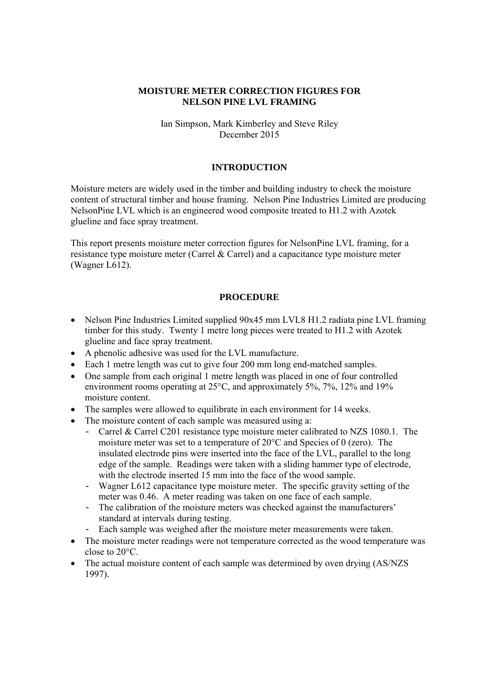## **MOISTURE METER CORRECTION FIGURES FOR NELSON PINE LVL FRAMING**

## Ian Simpson, Mark Kimberley and Steve Riley December 2015

## **INTRODUCTION**

Moisture meters are widely used in the timber and building industry to check the moisture content of structural timber and house framing. Nelson Pine Industries Limited are producing NelsonPine LVL which is an engineered wood composite treated to H1.2 with Azotek glueline and face spray treatment.

This report presents moisture meter correction figures for NelsonPine LVL framing, for a resistance type moisture meter (Carrel & Carrel) and a capacitance type moisture meter (Wagner L612).

#### **PROCEDURE**

- Nelson Pine Industries Limited supplied  $90x45$  mm LVL8 H1.2 radiata pine LVL framing timber for this study. Twenty 1 metre long pieces were treated to H1.2 with Azotek glueline and face spray treatment.
- A phenolic adhesive was used for the LVL manufacture.
- Each 1 metre length was cut to give four 200 mm long end-matched samples.
- One sample from each original 1 metre length was placed in one of four controlled environment rooms operating at 25°C, and approximately 5%, 7%, 12% and 19% moisture content.
- The samples were allowed to equilibrate in each environment for 14 weeks.
- The moisture content of each sample was measured using a:
	- Carrel & Carrel C201 resistance type moisture meter calibrated to NZS 1080.1. The moisture meter was set to a temperature of 20°C and Species of 0 (zero). The insulated electrode pins were inserted into the face of the LVL, parallel to the long edge of the sample. Readings were taken with a sliding hammer type of electrode, with the electrode inserted 15 mm into the face of the wood sample.
	- Wagner L612 capacitance type moisture meter. The specific gravity setting of the meter was 0.46. A meter reading was taken on one face of each sample.
	- The calibration of the moisture meters was checked against the manufacturers' standard at intervals during testing.
	- Each sample was weighed after the moisture meter measurements were taken.
- The moisture meter readings were not temperature corrected as the wood temperature was close to 20°C.
- The actual moisture content of each sample was determined by oven drying (AS/NZS) 1997).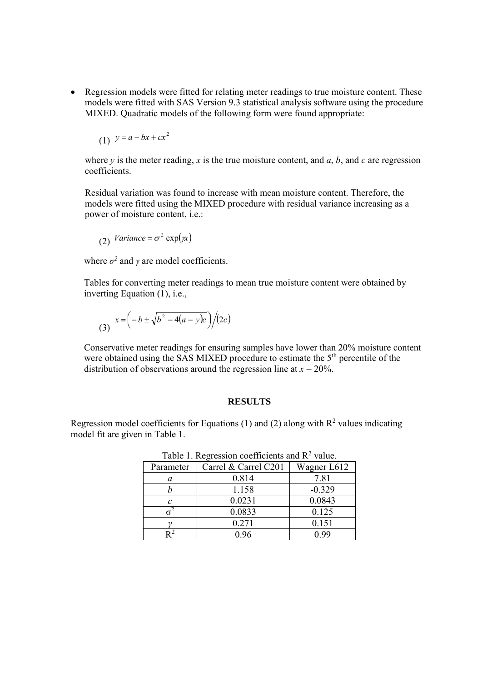• Regression models were fitted for relating meter readings to true moisture content. These models were fitted with SAS Version 9.3 statistical analysis software using the procedure MIXED. Quadratic models of the following form were found appropriate:

$$
(1) \quad y = a + bx + cx^2
$$

where  $y$  is the meter reading,  $x$  is the true moisture content, and  $a$ ,  $b$ , and  $c$  are regression coefficients.

Residual variation was found to increase with mean moisture content. Therefore, the models were fitted using the MIXED procedure with residual variance increasing as a power of moisture content, i.e.:

(2) 
$$
Variance = \sigma^2 \exp(\chi x)
$$

where  $\sigma^2$  and  $\gamma$  are model coefficients.

Tables for converting meter readings to mean true moisture content were obtained by inverting Equation (1), i.e.,

(3) 
$$
x = \left(-b \pm \sqrt{b^2 - 4(a - y)c}\right)/(2c)
$$

Conservative meter readings for ensuring samples have lower than 20% moisture content were obtained using the SAS MIXED procedure to estimate the 5<sup>th</sup> percentile of the distribution of observations around the regression line at  $x = 20\%$ .

#### **RESULTS**

Regression model coefficients for Equations (1) and (2) along with  $R^2$  values indicating model fit are given in Table 1.

| Parameter | Carrel & Carrel C201 | Wagner L612 |
|-----------|----------------------|-------------|
| a         | 0.814                | 7.81        |
|           | 1.158                | $-0.329$    |
| C         | 0.0231               | 0.0843      |
|           | 0.0833               | 0.125       |
|           | 0.271                | 0.151       |
|           | ) 96                 | ) QQ        |

Table 1. Regression coefficients and  $R^2$  value.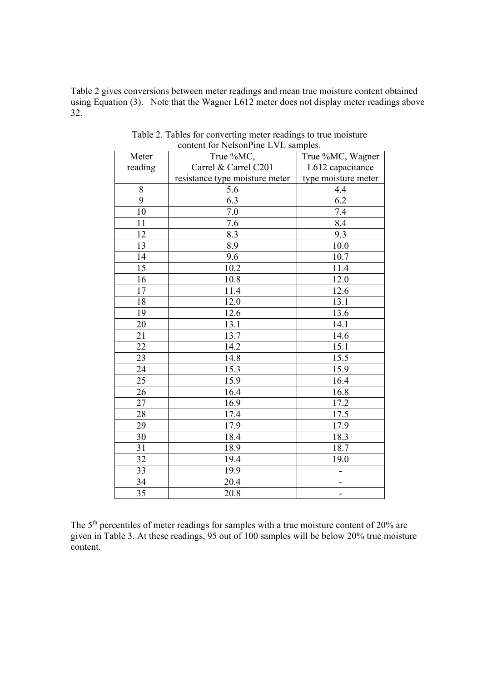Table 2 gives conversions between meter readings and mean true moisture content obtained using Equation (3). Note that the Wagner L612 meter does not display meter readings above 32.

| Meter   | True %MC,                      | True %MC, Wagner    |
|---------|--------------------------------|---------------------|
| reading | Carrel & Carrel C201           | L612 capacitance    |
|         | resistance type moisture meter | type moisture meter |
| 8       | 5.6                            | 4.4                 |
| 9       | 6.3                            | 6.2                 |
| 10      | 7.0                            | 7.4                 |
| 11      | 7.6                            | 8.4                 |
| 12      | 8.3                            | 9.3                 |
| 13      | 8.9                            | 10.0                |
| 14      | 9.6                            | 10.7                |
| 15      | 10.2                           | 11.4                |
| 16      | 10.8                           | 12.0                |
| 17      | 11.4                           | 12.6                |
| 18      | 12.0                           | 13.1                |
| 19      | 12.6                           | 13.6                |
| 20      | 13.1                           | 14.1                |
| 21      | 13.7                           | 14.6                |
| 22      | 14.2                           | 15.1                |
| 23      | 14.8                           | 15.5                |
| 24      | 15.3                           | 15.9                |
| 25      | 15.9                           | 16.4                |
| 26      | 16.4                           | 16.8                |
| 27      | 16.9                           | 17.2                |
| 28      | 17.4                           | 17.5                |
| 29      | 17.9                           | 17.9                |
| 30      | 18.4                           | 18.3                |
| 31      | 18.9                           | 18.7                |
| 32      | 19.4                           | 19.0                |
| 33      | 19.9                           |                     |
| 34      | 20.4                           |                     |
| 35      | 20.8                           |                     |

Table 2. Tables for converting meter readings to true moisture content for NelsonPine LVL samples.

The 5<sup>th</sup> percentiles of meter readings for samples with a true moisture content of 20% are given in Table 3. At these readings, 95 out of 100 samples will be below 20% true moisture content.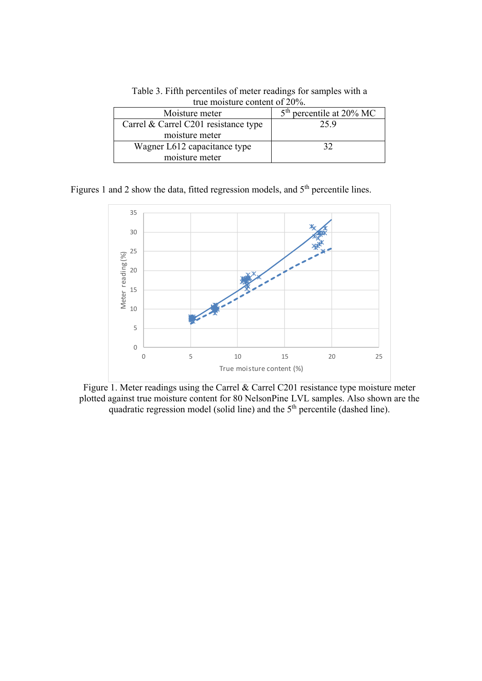| $\alpha$ av mondeal v vollevile of $\alpha$ . |                            |  |  |
|-----------------------------------------------|----------------------------|--|--|
| Moisture meter                                | $5th$ percentile at 20% MC |  |  |
| Carrel & Carrel C201 resistance type          | 259                        |  |  |
| moisture meter                                |                            |  |  |
| Wagner L612 capacitance type                  | 32                         |  |  |
| moisture meter                                |                            |  |  |

Table 3. Fifth percentiles of meter readings for samples with a true moisture content of 20%.

Figures 1 and 2 show the data, fitted regression models, and 5<sup>th</sup> percentile lines.



Figure 1. Meter readings using the Carrel & Carrel C201 resistance type moisture meter plotted against true moisture content for 80 NelsonPine LVL samples. Also shown are the quadratic regression model (solid line) and the 5<sup>th</sup> percentile (dashed line).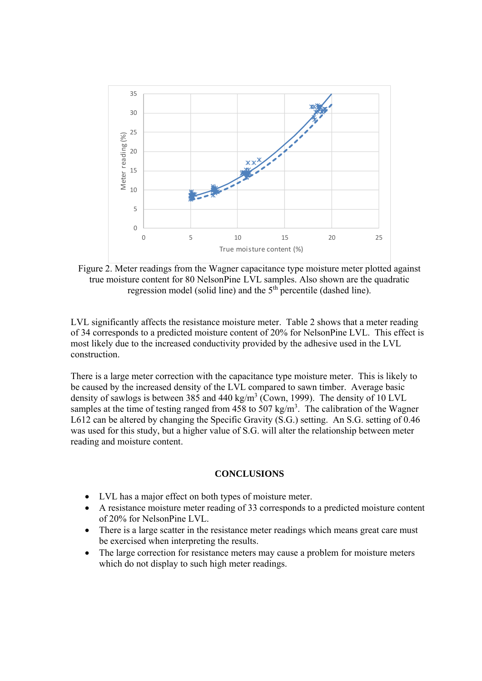

Figure 2. Meter readings from the Wagner capacitance type moisture meter plotted against true moisture content for 80 NelsonPine LVL samples. Also shown are the quadratic regression model (solid line) and the  $5<sup>th</sup>$  percentile (dashed line).

LVL significantly affects the resistance moisture meter. Table 2 shows that a meter reading of 34 corresponds to a predicted moisture content of 20% for NelsonPine LVL. This effect is most likely due to the increased conductivity provided by the adhesive used in the LVL construction.

There is a large meter correction with the capacitance type moisture meter. This is likely to be caused by the increased density of the LVL compared to sawn timber. Average basic density of sawlogs is between 385 and 440 kg/m<sup>3</sup> (Cown, 1999). The density of 10 LVL samples at the time of testing ranged from 458 to 507 kg/m<sup>3</sup>. The calibration of the Wagner L612 can be altered by changing the Specific Gravity (S.G.) setting. An S.G. setting of 0.46 was used for this study, but a higher value of S.G. will alter the relationship between meter reading and moisture content.

#### **CONCLUSIONS**

- LVL has a major effect on both types of moisture meter.
- A resistance moisture meter reading of 33 corresponds to a predicted moisture content of 20% for NelsonPine LVL.
- There is a large scatter in the resistance meter readings which means great care must be exercised when interpreting the results.
- The large correction for resistance meters may cause a problem for moisture meters which do not display to such high meter readings.